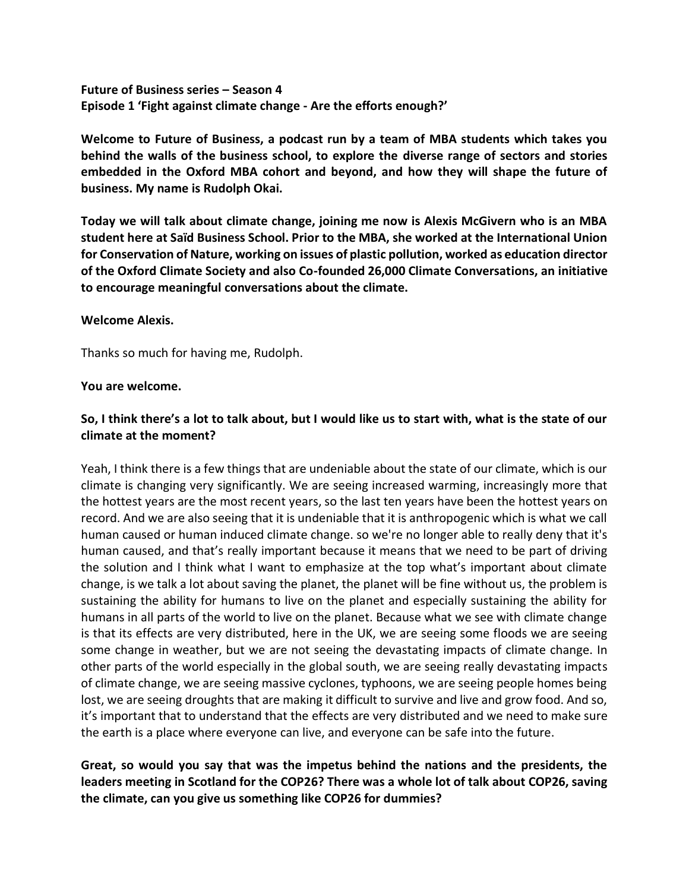**Future of Business series – Season 4 Episode 1 'Fight against climate change - Are the efforts enough?'**

**Welcome to Future of Business, a podcast run by a team of MBA students which takes you behind the walls of the business school, to explore the diverse range of sectors and stories embedded in the Oxford MBA cohort and beyond, and how they will shape the future of business. My name is Rudolph Okai.** 

**Today we will talk about climate change, joining me now is Alexis McGivern who is an MBA student here at Saïd Business School. Prior to the MBA, she worked at the International Union for Conservation of Nature, working on issues of plastic pollution, worked as education director of the Oxford Climate Society and also Co-founded 26,000 Climate Conversations, an initiative to encourage meaningful conversations about the climate.** 

### **Welcome Alexis.**

Thanks so much for having me, Rudolph.

#### **You are welcome.**

## **So, I think there's a lot to talk about, but I would like us to start with, what is the state of our climate at the moment?**

Yeah, I think there is a few things that are undeniable about the state of our climate, which is our climate is changing very significantly. We are seeing increased warming, increasingly more that the hottest years are the most recent years, so the last ten years have been the hottest years on record. And we are also seeing that it is undeniable that it is anthropogenic which is what we call human caused or human induced climate change. so we're no longer able to really deny that it's human caused, and that's really important because it means that we need to be part of driving the solution and I think what I want to emphasize at the top what's important about climate change, is we talk a lot about saving the planet, the planet will be fine without us, the problem is sustaining the ability for humans to live on the planet and especially sustaining the ability for humans in all parts of the world to live on the planet. Because what we see with climate change is that its effects are very distributed, here in the UK, we are seeing some floods we are seeing some change in weather, but we are not seeing the devastating impacts of climate change. In other parts of the world especially in the global south, we are seeing really devastating impacts of climate change, we are seeing massive cyclones, typhoons, we are seeing people homes being lost, we are seeing droughts that are making it difficult to survive and live and grow food. And so, it's important that to understand that the effects are very distributed and we need to make sure the earth is a place where everyone can live, and everyone can be safe into the future.

**Great, so would you say that was the impetus behind the nations and the presidents, the leaders meeting in Scotland for the COP26? There was a whole lot of talk about COP26, saving the climate, can you give us something like COP26 for dummies?**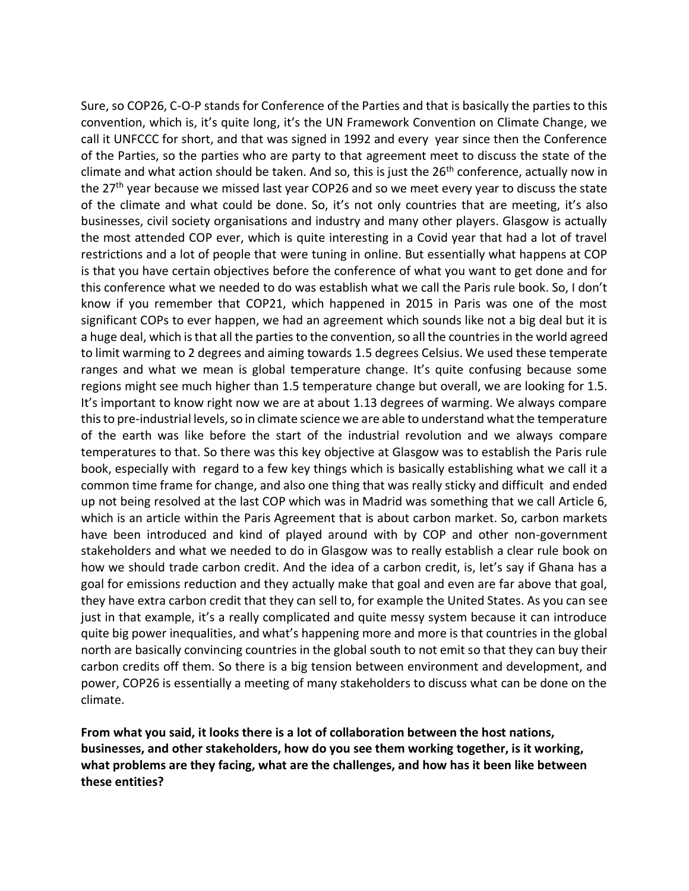Sure, so COP26, C-O-P stands for Conference of the Parties and that is basically the parties to this convention, which is, it's quite long, it's the UN Framework Convention on Climate Change, we call it UNFCCC for short, and that was signed in 1992 and every year since then the Conference of the Parties, so the parties who are party to that agreement meet to discuss the state of the climate and what action should be taken. And so, this is just the  $26<sup>th</sup>$  conference, actually now in the 27<sup>th</sup> year because we missed last year COP26 and so we meet every year to discuss the state of the climate and what could be done. So, it's not only countries that are meeting, it's also businesses, civil society organisations and industry and many other players. Glasgow is actually the most attended COP ever, which is quite interesting in a Covid year that had a lot of travel restrictions and a lot of people that were tuning in online. But essentially what happens at COP is that you have certain objectives before the conference of what you want to get done and for this conference what we needed to do was establish what we call the Paris rule book. So, I don't know if you remember that COP21, which happened in 2015 in Paris was one of the most significant COPs to ever happen, we had an agreement which sounds like not a big deal but it is a huge deal, which is that all the parties to the convention, so all the countries in the world agreed to limit warming to 2 degrees and aiming towards 1.5 degrees Celsius. We used these temperate ranges and what we mean is global temperature change. It's quite confusing because some regions might see much higher than 1.5 temperature change but overall, we are looking for 1.5. It's important to know right now we are at about 1.13 degrees of warming. We always compare this to pre-industrial levels, so in climate science we are able to understand what the temperature of the earth was like before the start of the industrial revolution and we always compare temperatures to that. So there was this key objective at Glasgow was to establish the Paris rule book, especially with regard to a few key things which is basically establishing what we call it a common time frame for change, and also one thing that was really sticky and difficult and ended up not being resolved at the last COP which was in Madrid was something that we call Article 6, which is an article within the Paris Agreement that is about carbon market. So, carbon markets have been introduced and kind of played around with by COP and other non-government stakeholders and what we needed to do in Glasgow was to really establish a clear rule book on how we should trade carbon credit. And the idea of a carbon credit, is, let's say if Ghana has a goal for emissions reduction and they actually make that goal and even are far above that goal, they have extra carbon credit that they can sell to, for example the United States. As you can see just in that example, it's a really complicated and quite messy system because it can introduce quite big power inequalities, and what's happening more and more is that countries in the global north are basically convincing countries in the global south to not emit so that they can buy their carbon credits off them. So there is a big tension between environment and development, and power, COP26 is essentially a meeting of many stakeholders to discuss what can be done on the climate.

**From what you said, it looks there is a lot of collaboration between the host nations, businesses, and other stakeholders, how do you see them working together, is it working, what problems are they facing, what are the challenges, and how has it been like between these entities?**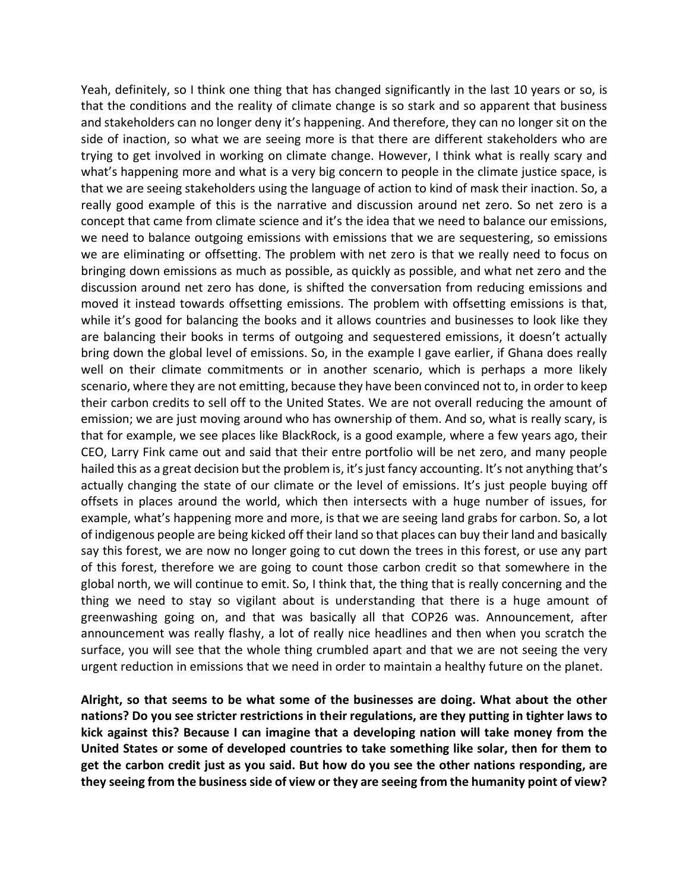Yeah, definitely, so I think one thing that has changed significantly in the last 10 years or so, is that the conditions and the reality of climate change is so stark and so apparent that business and stakeholders can no longer deny it's happening. And therefore, they can no longer sit on the side of inaction, so what we are seeing more is that there are different stakeholders who are trying to get involved in working on climate change. However, I think what is really scary and what's happening more and what is a very big concern to people in the climate justice space, is that we are seeing stakeholders using the language of action to kind of mask their inaction. So, a really good example of this is the narrative and discussion around net zero. So net zero is a concept that came from climate science and it's the idea that we need to balance our emissions, we need to balance outgoing emissions with emissions that we are sequestering, so emissions we are eliminating or offsetting. The problem with net zero is that we really need to focus on bringing down emissions as much as possible, as quickly as possible, and what net zero and the discussion around net zero has done, is shifted the conversation from reducing emissions and moved it instead towards offsetting emissions. The problem with offsetting emissions is that, while it's good for balancing the books and it allows countries and businesses to look like they are balancing their books in terms of outgoing and sequestered emissions, it doesn't actually bring down the global level of emissions. So, in the example I gave earlier, if Ghana does really well on their climate commitments or in another scenario, which is perhaps a more likely scenario, where they are not emitting, because they have been convinced not to, in order to keep their carbon credits to sell off to the United States. We are not overall reducing the amount of emission; we are just moving around who has ownership of them. And so, what is really scary, is that for example, we see places like BlackRock, is a good example, where a few years ago, their CEO, Larry Fink came out and said that their entre portfolio will be net zero, and many people hailed this as a great decision but the problem is, it's just fancy accounting. It's not anything that's actually changing the state of our climate or the level of emissions. It's just people buying off offsets in places around the world, which then intersects with a huge number of issues, for example, what's happening more and more, is that we are seeing land grabs for carbon. So, a lot of indigenous people are being kicked off their land so that places can buy their land and basically say this forest, we are now no longer going to cut down the trees in this forest, or use any part of this forest, therefore we are going to count those carbon credit so that somewhere in the global north, we will continue to emit. So, I think that, the thing that is really concerning and the thing we need to stay so vigilant about is understanding that there is a huge amount of greenwashing going on, and that was basically all that COP26 was. Announcement, after announcement was really flashy, a lot of really nice headlines and then when you scratch the surface, you will see that the whole thing crumbled apart and that we are not seeing the very urgent reduction in emissions that we need in order to maintain a healthy future on the planet.

**Alright, so that seems to be what some of the businesses are doing. What about the other nations? Do you see stricter restrictions in their regulations, are they putting in tighter laws to kick against this? Because I can imagine that a developing nation will take money from the United States or some of developed countries to take something like solar, then for them to get the carbon credit just as you said. But how do you see the other nations responding, are they seeing from the business side of view or they are seeing from the humanity point of view?**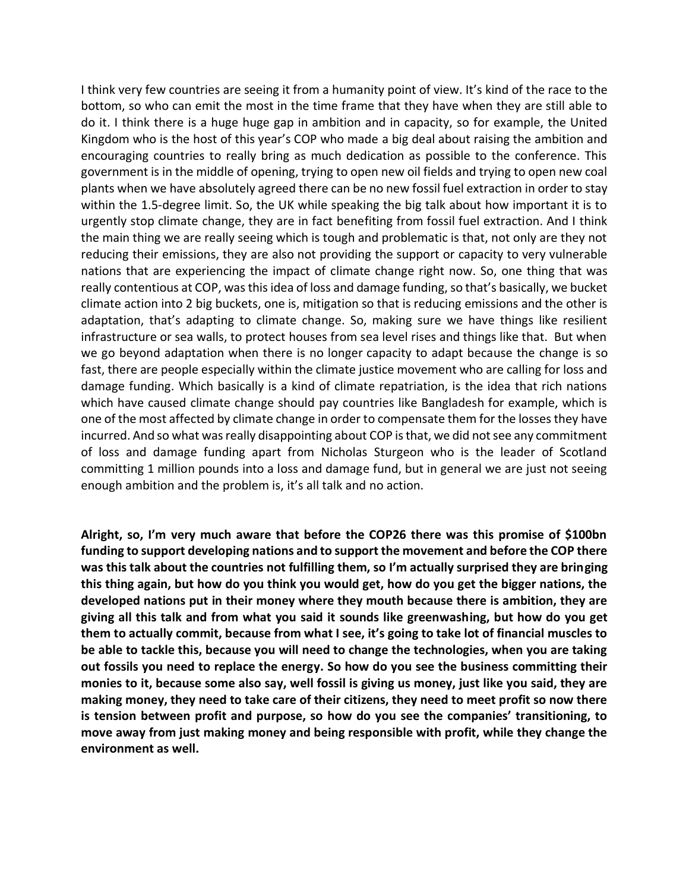I think very few countries are seeing it from a humanity point of view. It's kind of the race to the bottom, so who can emit the most in the time frame that they have when they are still able to do it. I think there is a huge huge gap in ambition and in capacity, so for example, the United Kingdom who is the host of this year's COP who made a big deal about raising the ambition and encouraging countries to really bring as much dedication as possible to the conference. This government is in the middle of opening, trying to open new oil fields and trying to open new coal plants when we have absolutely agreed there can be no new fossil fuel extraction in order to stay within the 1.5-degree limit. So, the UK while speaking the big talk about how important it is to urgently stop climate change, they are in fact benefiting from fossil fuel extraction. And I think the main thing we are really seeing which is tough and problematic is that, not only are they not reducing their emissions, they are also not providing the support or capacity to very vulnerable nations that are experiencing the impact of climate change right now. So, one thing that was really contentious at COP, was this idea of loss and damage funding, so that's basically, we bucket climate action into 2 big buckets, one is, mitigation so that is reducing emissions and the other is adaptation, that's adapting to climate change. So, making sure we have things like resilient infrastructure or sea walls, to protect houses from sea level rises and things like that. But when we go beyond adaptation when there is no longer capacity to adapt because the change is so fast, there are people especially within the climate justice movement who are calling for loss and damage funding. Which basically is a kind of climate repatriation, is the idea that rich nations which have caused climate change should pay countries like Bangladesh for example, which is one of the most affected by climate change in order to compensate them for the losses they have incurred. And so what was really disappointing about COP is that, we did not see any commitment of loss and damage funding apart from Nicholas Sturgeon who is the leader of Scotland committing 1 million pounds into a loss and damage fund, but in general we are just not seeing enough ambition and the problem is, it's all talk and no action.

**Alright, so, I'm very much aware that before the COP26 there was this promise of \$100bn funding to support developing nations and to support the movement and before the COP there was this talk about the countries not fulfilling them, so I'm actually surprised they are bringing this thing again, but how do you think you would get, how do you get the bigger nations, the developed nations put in their money where they mouth because there is ambition, they are giving all this talk and from what you said it sounds like greenwashing, but how do you get them to actually commit, because from what I see, it's going to take lot of financial muscles to be able to tackle this, because you will need to change the technologies, when you are taking out fossils you need to replace the energy. So how do you see the business committing their monies to it, because some also say, well fossil is giving us money, just like you said, they are making money, they need to take care of their citizens, they need to meet profit so now there is tension between profit and purpose, so how do you see the companies' transitioning, to move away from just making money and being responsible with profit, while they change the environment as well.**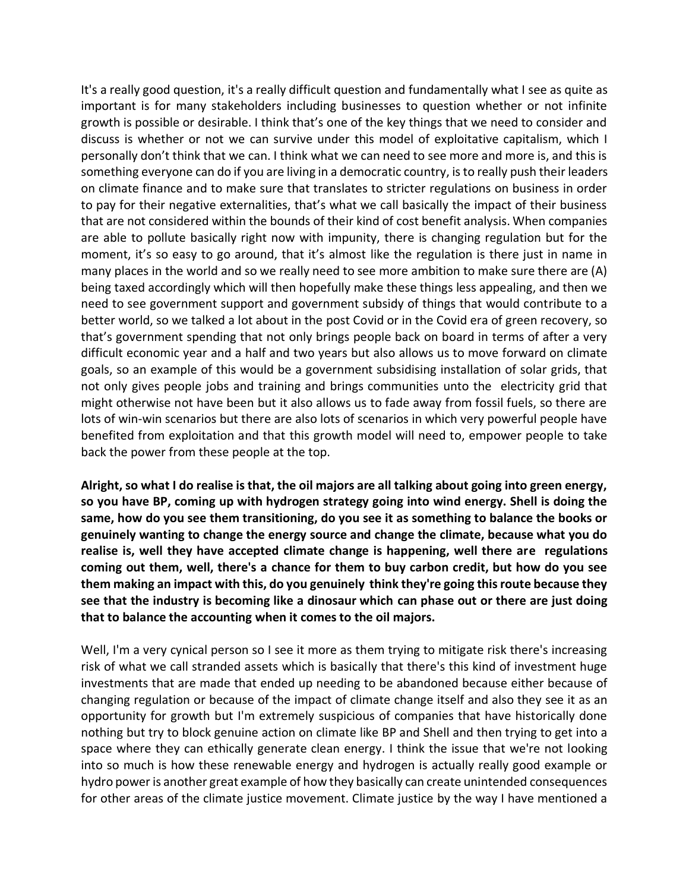It's a really good question, it's a really difficult question and fundamentally what I see as quite as important is for many stakeholders including businesses to question whether or not infinite growth is possible or desirable. I think that's one of the key things that we need to consider and discuss is whether or not we can survive under this model of exploitative capitalism, which I personally don't think that we can. I think what we can need to see more and more is, and this is something everyone can do if you are living in a democratic country, is to really push their leaders on climate finance and to make sure that translates to stricter regulations on business in order to pay for their negative externalities, that's what we call basically the impact of their business that are not considered within the bounds of their kind of cost benefit analysis. When companies are able to pollute basically right now with impunity, there is changing regulation but for the moment, it's so easy to go around, that it's almost like the regulation is there just in name in many places in the world and so we really need to see more ambition to make sure there are (A) being taxed accordingly which will then hopefully make these things less appealing, and then we need to see government support and government subsidy of things that would contribute to a better world, so we talked a lot about in the post Covid or in the Covid era of green recovery, so that's government spending that not only brings people back on board in terms of after a very difficult economic year and a half and two years but also allows us to move forward on climate goals, so an example of this would be a government subsidising installation of solar grids, that not only gives people jobs and training and brings communities unto the electricity grid that might otherwise not have been but it also allows us to fade away from fossil fuels, so there are lots of win-win scenarios but there are also lots of scenarios in which very powerful people have benefited from exploitation and that this growth model will need to, empower people to take back the power from these people at the top.

**Alright, so what I do realise is that, the oil majors are all talking about going into green energy, so you have BP, coming up with hydrogen strategy going into wind energy. Shell is doing the same, how do you see them transitioning, do you see it as something to balance the books or genuinely wanting to change the energy source and change the climate, because what you do realise is, well they have accepted climate change is happening, well there are regulations coming out them, well, there's a chance for them to buy carbon credit, but how do you see them making an impact with this, do you genuinely think they're going this route because they see that the industry is becoming like a dinosaur which can phase out or there are just doing that to balance the accounting when it comes to the oil majors.**

Well, I'm a very cynical person so I see it more as them trying to mitigate risk there's increasing risk of what we call stranded assets which is basically that there's this kind of investment huge investments that are made that ended up needing to be abandoned because either because of changing regulation or because of the impact of climate change itself and also they see it as an opportunity for growth but I'm extremely suspicious of companies that have historically done nothing but try to block genuine action on climate like BP and Shell and then trying to get into a space where they can ethically generate clean energy. I think the issue that we're not looking into so much is how these renewable energy and hydrogen is actually really good example or hydro power is another great example of how they basically can create unintended consequences for other areas of the climate justice movement. Climate justice by the way I have mentioned a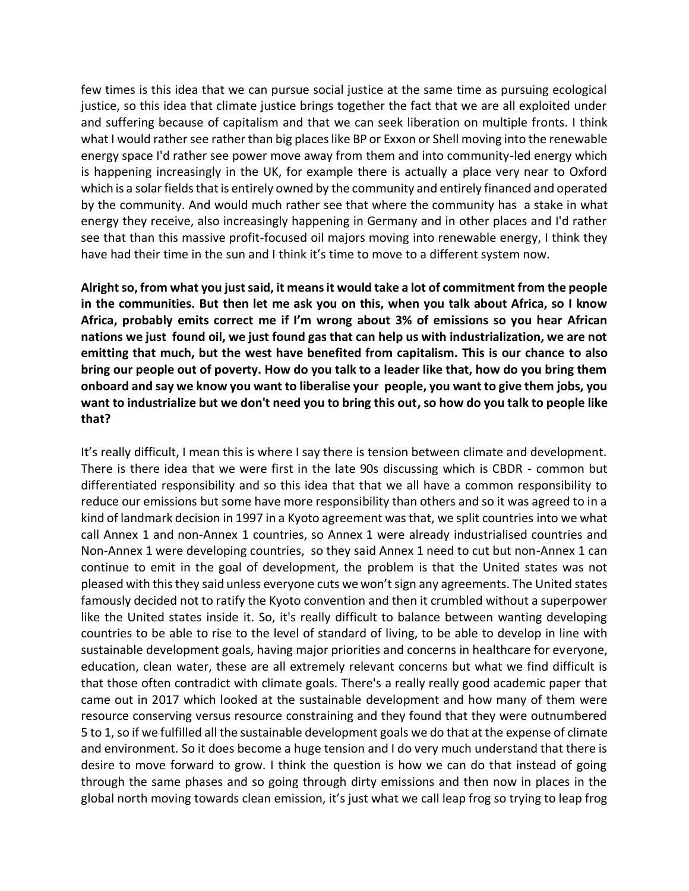few times is this idea that we can pursue social justice at the same time as pursuing ecological justice, so this idea that climate justice brings together the fact that we are all exploited under and suffering because of capitalism and that we can seek liberation on multiple fronts. I think what I would rather see rather than big places like BP or Exxon or Shell moving into the renewable energy space I'd rather see power move away from them and into community-led energy which is happening increasingly in the UK, for example there is actually a place very near to Oxford which is a solar fields that is entirely owned by the community and entirely financed and operated by the community. And would much rather see that where the community has a stake in what energy they receive, also increasingly happening in Germany and in other places and I'd rather see that than this massive profit-focused oil majors moving into renewable energy, I think they have had their time in the sun and I think it's time to move to a different system now.

**Alright so, from what you just said, it means it would take a lot of commitment from the people in the communities. But then let me ask you on this, when you talk about Africa, so I know Africa, probably emits correct me if I'm wrong about 3% of emissions so you hear African nations we just found oil, we just found gas that can help us with industrialization, we are not emitting that much, but the west have benefited from capitalism. This is our chance to also bring our people out of poverty. How do you talk to a leader like that, how do you bring them onboard and say we know you want to liberalise your people, you want to give them jobs, you want to industrialize but we don't need you to bring this out, so how do you talk to people like that?**

It's really difficult, I mean this is where I say there is tension between climate and development. There is there idea that we were first in the late 90s discussing which is CBDR - common but differentiated responsibility and so this idea that that we all have a common responsibility to reduce our emissions but some have more responsibility than others and so it was agreed to in a kind of landmark decision in 1997 in a Kyoto agreement was that, we split countries into we what call Annex 1 and non-Annex 1 countries, so Annex 1 were already industrialised countries and Non-Annex 1 were developing countries, so they said Annex 1 need to cut but non-Annex 1 can continue to emit in the goal of development, the problem is that the United states was not pleased with this they said unless everyone cuts we won't sign any agreements. The United states famously decided not to ratify the Kyoto convention and then it crumbled without a superpower like the United states inside it. So, it's really difficult to balance between wanting developing countries to be able to rise to the level of standard of living, to be able to develop in line with sustainable development goals, having major priorities and concerns in healthcare for everyone, education, clean water, these are all extremely relevant concerns but what we find difficult is that those often contradict with climate goals. There's a really really good academic paper that came out in 2017 which looked at the sustainable development and how many of them were resource conserving versus resource constraining and they found that they were outnumbered 5 to 1, so if we fulfilled all the sustainable development goals we do that at the expense of climate and environment. So it does become a huge tension and I do very much understand that there is desire to move forward to grow. I think the question is how we can do that instead of going through the same phases and so going through dirty emissions and then now in places in the global north moving towards clean emission, it's just what we call leap frog so trying to leap frog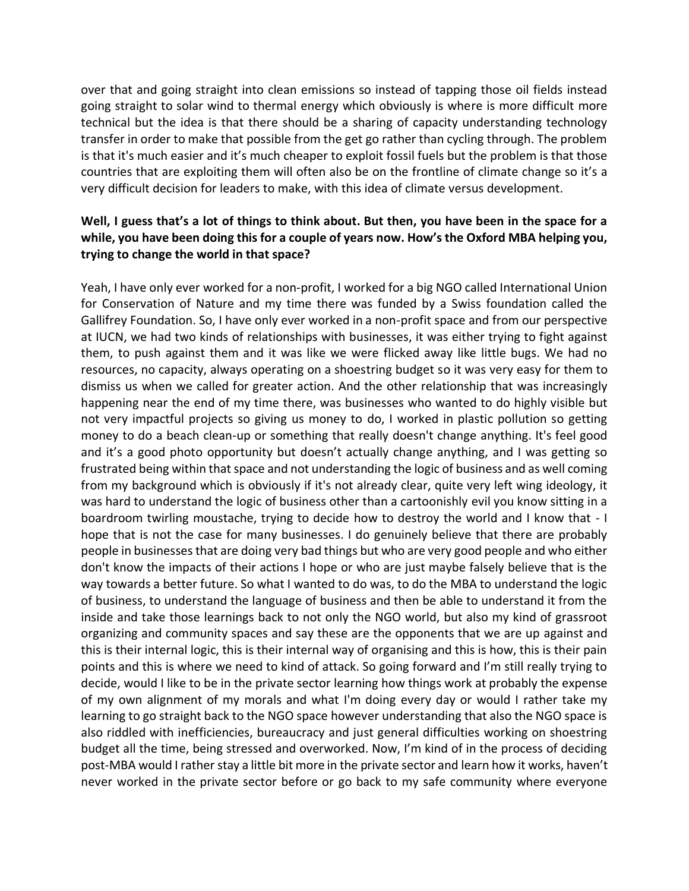over that and going straight into clean emissions so instead of tapping those oil fields instead going straight to solar wind to thermal energy which obviously is where is more difficult more technical but the idea is that there should be a sharing of capacity understanding technology transfer in order to make that possible from the get go rather than cycling through. The problem is that it's much easier and it's much cheaper to exploit fossil fuels but the problem is that those countries that are exploiting them will often also be on the frontline of climate change so it's a very difficult decision for leaders to make, with this idea of climate versus development.

# **Well, I guess that's a lot of things to think about. But then, you have been in the space for a while, you have been doing this for a couple of years now. How's the Oxford MBA helping you, trying to change the world in that space?**

Yeah, I have only ever worked for a non-profit, I worked for a big NGO called International Union for Conservation of Nature and my time there was funded by a Swiss foundation called the Gallifrey Foundation. So, I have only ever worked in a non-profit space and from our perspective at IUCN, we had two kinds of relationships with businesses, it was either trying to fight against them, to push against them and it was like we were flicked away like little bugs. We had no resources, no capacity, always operating on a shoestring budget so it was very easy for them to dismiss us when we called for greater action. And the other relationship that was increasingly happening near the end of my time there, was businesses who wanted to do highly visible but not very impactful projects so giving us money to do, I worked in plastic pollution so getting money to do a beach clean-up or something that really doesn't change anything. It's feel good and it's a good photo opportunity but doesn't actually change anything, and I was getting so frustrated being within that space and not understanding the logic of business and as well coming from my background which is obviously if it's not already clear, quite very left wing ideology, it was hard to understand the logic of business other than a cartoonishly evil you know sitting in a boardroom twirling moustache, trying to decide how to destroy the world and I know that - I hope that is not the case for many businesses. I do genuinely believe that there are probably people in businesses that are doing very bad things but who are very good people and who either don't know the impacts of their actions I hope or who are just maybe falsely believe that is the way towards a better future. So what I wanted to do was, to do the MBA to understand the logic of business, to understand the language of business and then be able to understand it from the inside and take those learnings back to not only the NGO world, but also my kind of grassroot organizing and community spaces and say these are the opponents that we are up against and this is their internal logic, this is their internal way of organising and this is how, this is their pain points and this is where we need to kind of attack. So going forward and I'm still really trying to decide, would I like to be in the private sector learning how things work at probably the expense of my own alignment of my morals and what I'm doing every day or would I rather take my learning to go straight back to the NGO space however understanding that also the NGO space is also riddled with inefficiencies, bureaucracy and just general difficulties working on shoestring budget all the time, being stressed and overworked. Now, I'm kind of in the process of deciding post-MBA would I rather stay a little bit more in the private sector and learn how it works, haven't never worked in the private sector before or go back to my safe community where everyone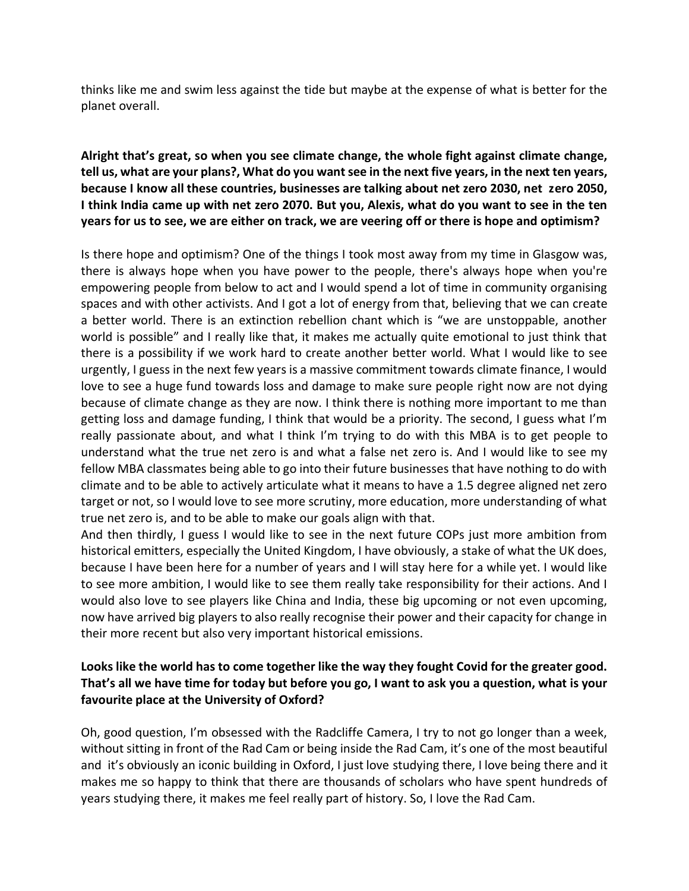thinks like me and swim less against the tide but maybe at the expense of what is better for the planet overall.

## **Alright that's great, so when you see climate change, the whole fight against climate change, tell us, what are your plans?, What do you want see in the next five years, in the next ten years, because I know all these countries, businesses are talking about net zero 2030, net zero 2050, I think India came up with net zero 2070. But you, Alexis, what do you want to see in the ten years for us to see, we are either on track, we are veering off or there is hope and optimism?**

Is there hope and optimism? One of the things I took most away from my time in Glasgow was, there is always hope when you have power to the people, there's always hope when you're empowering people from below to act and I would spend a lot of time in community organising spaces and with other activists. And I got a lot of energy from that, believing that we can create a better world. There is an extinction rebellion chant which is "we are unstoppable, another world is possible" and I really like that, it makes me actually quite emotional to just think that there is a possibility if we work hard to create another better world. What I would like to see urgently, I guess in the next few years is a massive commitment towards climate finance, I would love to see a huge fund towards loss and damage to make sure people right now are not dying because of climate change as they are now. I think there is nothing more important to me than getting loss and damage funding, I think that would be a priority. The second, I guess what I'm really passionate about, and what I think I'm trying to do with this MBA is to get people to understand what the true net zero is and what a false net zero is. And I would like to see my fellow MBA classmates being able to go into their future businesses that have nothing to do with climate and to be able to actively articulate what it means to have a 1.5 degree aligned net zero target or not, so I would love to see more scrutiny, more education, more understanding of what true net zero is, and to be able to make our goals align with that.

And then thirdly, I guess I would like to see in the next future COPs just more ambition from historical emitters, especially the United Kingdom, I have obviously, a stake of what the UK does, because I have been here for a number of years and I will stay here for a while yet. I would like to see more ambition, I would like to see them really take responsibility for their actions. And I would also love to see players like China and India, these big upcoming or not even upcoming, now have arrived big players to also really recognise their power and their capacity for change in their more recent but also very important historical emissions.

## **Looks like the world has to come together like the way they fought Covid for the greater good. That's all we have time for today but before you go, I want to ask you a question, what is your favourite place at the University of Oxford?**

Oh, good question, I'm obsessed with the Radcliffe Camera, I try to not go longer than a week, without sitting in front of the Rad Cam or being inside the Rad Cam, it's one of the most beautiful and it's obviously an iconic building in Oxford, I just love studying there, I love being there and it makes me so happy to think that there are thousands of scholars who have spent hundreds of years studying there, it makes me feel really part of history. So, I love the Rad Cam.